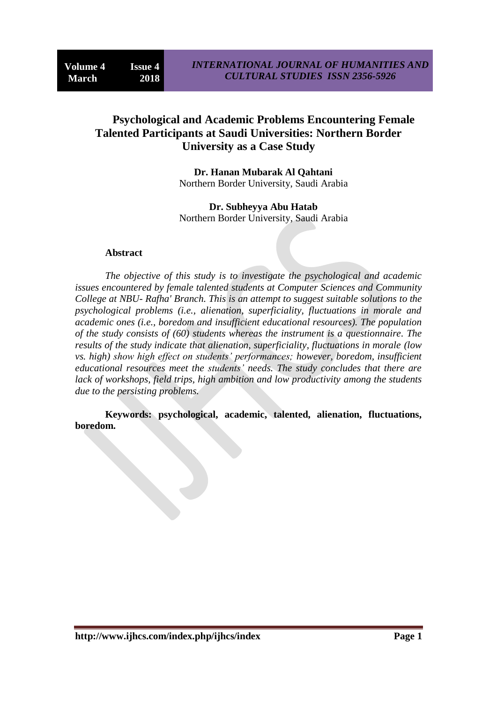# **Psychological and Academic Problems Encountering Female Talented Participants at Saudi Universities: Northern Border University as a Case Study**

**Dr. Hanan Mubarak Al Qahtani** Northern Border University, Saudi Arabia

**Dr. Subheyya Abu Hatab** Northern Border University, Saudi Arabia

#### **Abstract**

*The objective of this study is to investigate the psychological and academic issues encountered by female talented students at Computer Sciences and Community College at NBU- Rafha' Branch. This is an attempt to suggest suitable solutions to the psychological problems (i.e., alienation, superficiality, fluctuations in morale and academic ones (i.e., boredom and insufficient educational resources). The population of the study consists of (60) students whereas the instrument is a questionnaire. The results of the study indicate that alienation, superficiality, fluctuations in morale (low vs. high) show high effect on students' performances; however, boredom, insufficient educational resources meet the students' needs. The study concludes that there are lack of workshops, field trips, high ambition and low productivity among the students due to the persisting problems.* 

**Keywords: psychological, academic, talented, alienation, fluctuations, boredom.**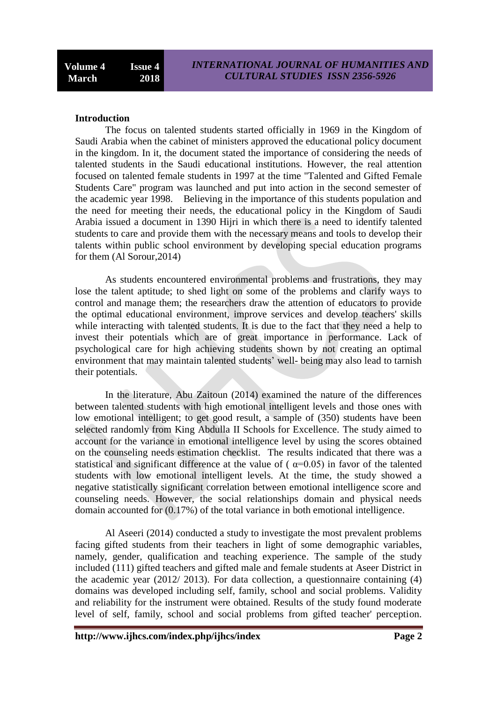### **Introduction**

The focus on talented students started officially in 1969 in the Kingdom of Saudi Arabia when the cabinet of ministers approved the educational policy document in the kingdom. In it, the document stated the importance of considering the needs of talented students in the Saudi educational institutions. However, the real attention focused on talented female students in 1997 at the time "Talented and Gifted Female Students Care" program was launched and put into action in the second semester of the academic year 1998. Believing in the importance of this students population and the need for meeting their needs, the educational policy in the Kingdom of Saudi Arabia issued a document in 1390 Hijri in which there is a need to identify talented students to care and provide them with the necessary means and tools to develop their talents within public school environment by developing special education programs for them (Al Sorour,2014)

As students encountered environmental problems and frustrations, they may lose the talent aptitude; to shed light on some of the problems and clarify ways to control and manage them; the researchers draw the attention of educators to provide the optimal educational environment, improve services and develop teachers' skills while interacting with talented students. It is due to the fact that they need a help to invest their potentials which are of great importance in performance. Lack of psychological care for high achieving students shown by not creating an optimal environment that may maintain talented students' well- being may also lead to tarnish their potentials.

In the literature, Abu Zaitoun (2014) examined the nature of the differences between talented students with high emotional intelligent levels and those ones with low emotional intelligent; to get good result, a sample of (350) students have been selected randomly from King Abdulla II Schools for Excellence. The study aimed to account for the variance in emotional intelligence level by using the scores obtained on the counseling needs estimation checklist. The results indicated that there was a statistical and significant difference at the value of ( $\alpha$ =0.05) in favor of the talented students with low emotional intelligent levels. At the time, the study showed a negative statistically significant correlation between emotional intelligence score and counseling needs. However, the social relationships domain and physical needs domain accounted for (0.17%) of the total variance in both emotional intelligence.

Al Aseeri (2014) conducted a study to investigate the most prevalent problems facing gifted students from their teachers in light of some demographic variables, namely, gender, qualification and teaching experience. The sample of the study included (111) gifted teachers and gifted male and female students at Aseer District in the academic year (2012/ 2013). For data collection, a questionnaire containing (4) domains was developed including self, family, school and social problems. Validity and reliability for the instrument were obtained. Results of the study found moderate level of self, family, school and social problems from gifted teacher' perception.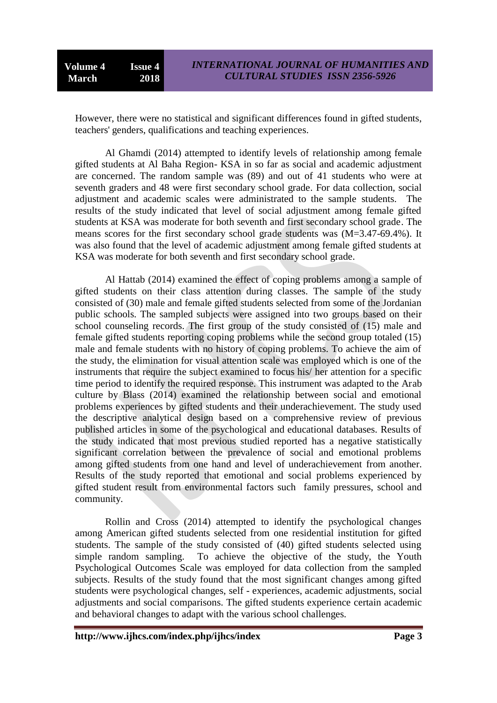However, there were no statistical and significant differences found in gifted students, teachers' genders, qualifications and teaching experiences.

Al Ghamdi (2014) attempted to identify levels of relationship among female gifted students at Al Baha Region- KSA in so far as social and academic adjustment are concerned. The random sample was (89) and out of 41 students who were at seventh graders and 48 were first secondary school grade. For data collection, social adjustment and academic scales were administrated to the sample students. The results of the study indicated that level of social adjustment among female gifted students at KSA was moderate for both seventh and first secondary school grade. The means scores for the first secondary school grade students was (M=3.47-69.4%). It was also found that the level of academic adjustment among female gifted students at KSA was moderate for both seventh and first secondary school grade.

Al Hattab (2014) examined the effect of coping problems among a sample of gifted students on their class attention during classes. The sample of the study consisted of (30) male and female gifted students selected from some of the Jordanian public schools. The sampled subjects were assigned into two groups based on their school counseling records. The first group of the study consisted of (15) male and female gifted students reporting coping problems while the second group totaled (15) male and female students with no history of coping problems. To achieve the aim of the study, the elimination for visual attention scale was employed which is one of the instruments that require the subject examined to focus his/ her attention for a specific time period to identify the required response. This instrument was adapted to the Arab culture by Blass (2014) examined the relationship between social and emotional problems experiences by gifted students and their underachievement. The study used the descriptive analytical design based on a comprehensive review of previous published articles in some of the psychological and educational databases. Results of the study indicated that most previous studied reported has a negative statistically significant correlation between the prevalence of social and emotional problems among gifted students from one hand and level of underachievement from another. Results of the study reported that emotional and social problems experienced by gifted student result from environmental factors such family pressures, school and community.

Rollin and Cross (2014) attempted to identify the psychological changes among American gifted students selected from one residential institution for gifted students. The sample of the study consisted of (40) gifted students selected using simple random sampling. To achieve the objective of the study, the Youth Psychological Outcomes Scale was employed for data collection from the sampled subjects. Results of the study found that the most significant changes among gifted students were psychological changes, self - experiences, academic adjustments, social adjustments and social comparisons. The gifted students experience certain academic and behavioral changes to adapt with the various school challenges.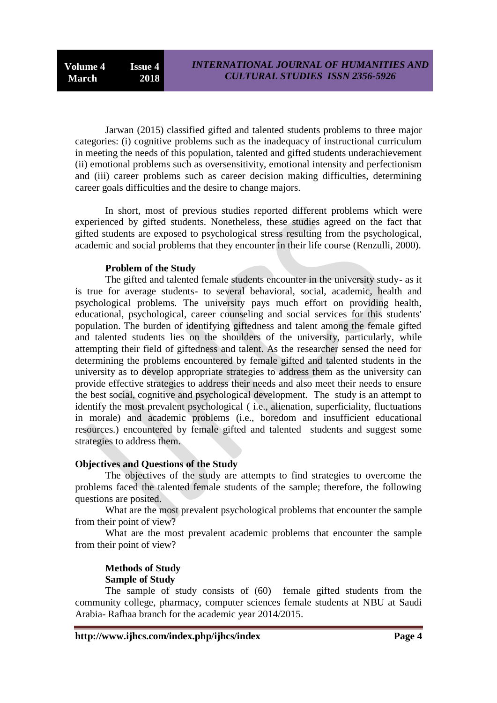Jarwan (2015) classified gifted and talented students problems to three major categories: (i) cognitive problems such as the inadequacy of instructional curriculum in meeting the needs of this population, talented and gifted students underachievement (ii) emotional problems such as oversensitivity, emotional intensity and perfectionism and (iii) career problems such as career decision making difficulties, determining career goals difficulties and the desire to change majors.

In short, most of previous studies reported different problems which were experienced by gifted students. Nonetheless, these studies agreed on the fact that gifted students are exposed to psychological stress resulting from the psychological, academic and social problems that they encounter in their life course (Renzulli, 2000).

### **Problem of the Study**

The gifted and talented female students encounter in the university study- as it is true for average students- to several behavioral, social, academic, health and psychological problems. The university pays much effort on providing health, educational, psychological, career counseling and social services for this students' population. The burden of identifying giftedness and talent among the female gifted and talented students lies on the shoulders of the university, particularly, while attempting their field of giftedness and talent. As the researcher sensed the need for determining the problems encountered by female gifted and talented students in the university as to develop appropriate strategies to address them as the university can provide effective strategies to address their needs and also meet their needs to ensure the best social, cognitive and psychological development. The study is an attempt to identify the most prevalent psychological ( i.e., alienation, superficiality, fluctuations in morale) and academic problems (i.e., boredom and insufficient educational resources.) encountered by female gifted and talented students and suggest some strategies to address them.

### **Objectives and Questions of the Study**

The objectives of the study are attempts to find strategies to overcome the problems faced the talented female students of the sample; therefore, the following questions are posited.

What are the most prevalent psychological problems that encounter the sample from their point of view?

What are the most prevalent academic problems that encounter the sample from their point of view?

# **Methods of Study Sample of Study**

The sample of study consists of (60) female gifted students from the community college, pharmacy, computer sciences female students at NBU at Saudi Arabia- Rafhaa branch for the academic year 2014/2015.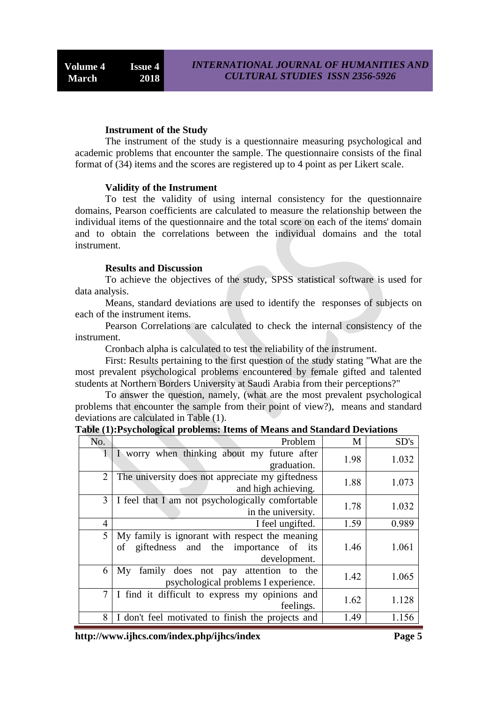#### **Instrument of the Study**

The instrument of the study is a questionnaire measuring psychological and academic problems that encounter the sample. The questionnaire consists of the final format of (34) items and the scores are registered up to 4 point as per Likert scale.

#### **Validity of the Instrument**

To test the validity of using internal consistency for the questionnaire domains, Pearson coefficients are calculated to measure the relationship between the individual items of the questionnaire and the total score on each of the items' domain and to obtain the correlations between the individual domains and the total instrument.

#### **Results and Discussion**

To achieve the objectives of the study, SPSS statistical software is used for data analysis.

Means, standard deviations are used to identify the responses of subjects on each of the instrument items.

Pearson Correlations are calculated to check the internal consistency of the instrument.

Cronbach alpha is calculated to test the reliability of the instrument.

First: Results pertaining to the first question of the study stating "What are the most prevalent psychological problems encountered by female gifted and talented students at Northern Borders University at Saudi Arabia from their perceptions?"

To answer the question, namely, (what are the most prevalent psychological problems that encounter the sample from their point of view?), means and standard deviations are calculated in Table (1).

| No.            | Problem                                                                                                      | M    | SD's  |
|----------------|--------------------------------------------------------------------------------------------------------------|------|-------|
| 1              | I worry when thinking about my future after<br>graduation.                                                   | 1.98 | 1.032 |
| $\overline{2}$ | The university does not appreciate my giftedness<br>and high achieving.                                      | 1.88 | 1.073 |
| 3              | I feel that I am not psychologically comfortable<br>in the university.                                       | 1.78 | 1.032 |
| $\overline{4}$ | I feel ungifted.                                                                                             | 1.59 | 0.989 |
| 5              | My family is ignorant with respect the meaning<br>giftedness and the importance of its<br>of<br>development. | 1.46 | 1.061 |
| 6              | family does not pay attention<br>My<br>to the<br>psychological problems I experience.                        | 1.42 | 1.065 |
| $\overline{7}$ | I find it difficult to express my opinions and<br>feelings.                                                  | 1.62 | 1.128 |
| 8              | I don't feel motivated to finish the projects and                                                            | 1.49 | 1.156 |

**Table (1):Psychological problems: Items of Means and Standard Deviations** 

**http://www.ijhcs.com/index.php/ijhcs/index Page 5**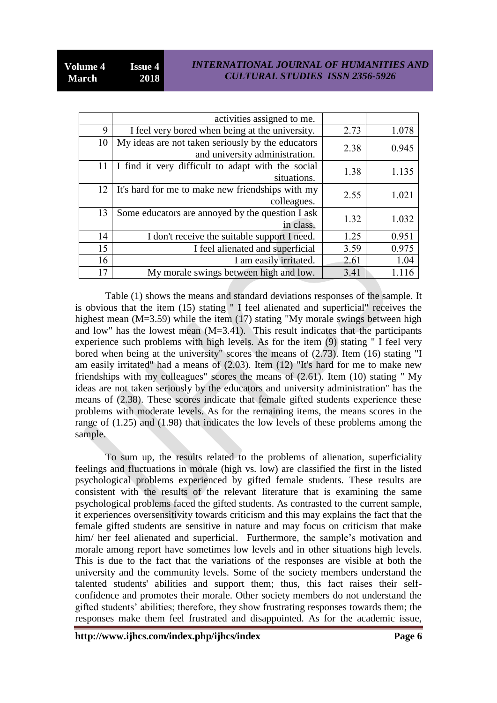### *INTERNATIONAL JOURNAL OF HUMANITIES AND CULTURAL STUDIES ISSN 2356-5926*

|    | activities assigned to me.                                                          |      |       |
|----|-------------------------------------------------------------------------------------|------|-------|
| 9  | I feel very bored when being at the university.                                     | 2.73 | 1.078 |
| 10 | My ideas are not taken seriously by the educators<br>and university administration. | 2.38 | 0.945 |
| 11 | I find it very difficult to adapt with the social<br>situations.                    | 1.38 | 1.135 |
| 12 | It's hard for me to make new friendships with my<br>colleagues.                     | 2.55 | 1.021 |
| 13 | Some educators are annoyed by the question I ask<br>in class.                       | 1.32 | 1.032 |
| 14 | I don't receive the suitable support I need.                                        | 1.25 | 0.951 |
| 15 | I feel alienated and superficial                                                    | 3.59 | 0.975 |
| 16 | I am easily irritated.                                                              | 2.61 | 1.04  |
| 17 | My morale swings between high and low.                                              | 3.41 |       |

Table (1) shows the means and standard deviations responses of the sample. It is obvious that the item (15) stating " I feel alienated and superficial" receives the highest mean (M=3.59) while the item (17) stating "My morale swings between high and low" has the lowest mean  $(M=3.41)$ . This result indicates that the participants experience such problems with high levels. As for the item (9) stating " I feel very bored when being at the university" scores the means of (2.73). Item (16) stating "I am easily irritated" had a means of (2.03). Item (12) "It's hard for me to make new friendships with my colleagues" scores the means of (2.61). Item (10) stating " My ideas are not taken seriously by the educators and university administration" has the means of (2.38). These scores indicate that female gifted students experience these problems with moderate levels. As for the remaining items, the means scores in the range of (1.25) and (1.98) that indicates the low levels of these problems among the sample.

To sum up, the results related to the problems of alienation, superficiality feelings and fluctuations in morale (high vs. low) are classified the first in the listed psychological problems experienced by gifted female students. These results are consistent with the results of the relevant literature that is examining the same psychological problems faced the gifted students. As contrasted to the current sample, it experiences oversensitivity towards criticism and this may explains the fact that the female gifted students are sensitive in nature and may focus on criticism that make him/ her feel alienated and superficial. Furthermore, the sample's motivation and morale among report have sometimes low levels and in other situations high levels. This is due to the fact that the variations of the responses are visible at both the university and the community levels. Some of the society members understand the talented students' abilities and support them; thus, this fact raises their selfconfidence and promotes their morale. Other society members do not understand the gifted students' abilities; therefore, they show frustrating responses towards them; the responses make them feel frustrated and disappointed. As for the academic issue,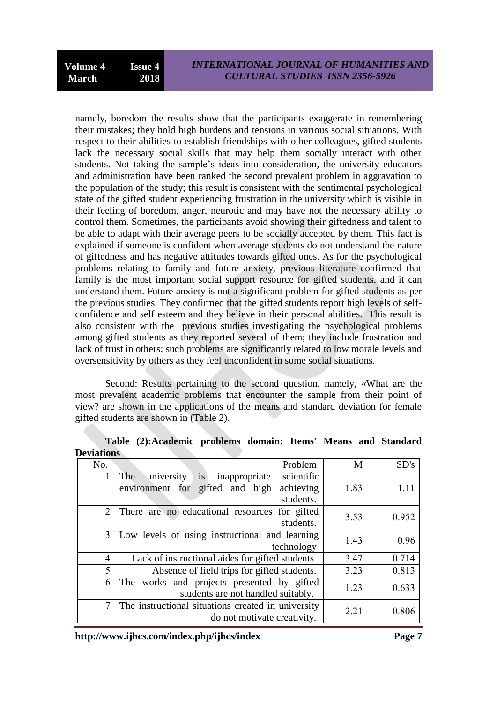namely, boredom the results show that the participants exaggerate in remembering their mistakes; they hold high burdens and tensions in various social situations. With respect to their abilities to establish friendships with other colleagues, gifted students lack the necessary social skills that may help them socially interact with other students. Not taking the sample's ideas into consideration, the university educators and administration have been ranked the second prevalent problem in aggravation to the population of the study; this result is consistent with the sentimental psychological state of the gifted student experiencing frustration in the university which is visible in their feeling of boredom, anger, neurotic and may have not the necessary ability to control them. Sometimes, the participants avoid showing their giftedness and talent to be able to adapt with their average peers to be socially accepted by them. This fact is explained if someone is confident when average students do not understand the nature of giftedness and has negative attitudes towards gifted ones. As for the psychological problems relating to family and future anxiety, previous literature confirmed that family is the most important social support resource for gifted students, and it can understand them. Future anxiety is not a significant problem for gifted students as per the previous studies. They confirmed that the gifted students report high levels of selfconfidence and self esteem and they believe in their personal abilities. This result is also consistent with the previous studies investigating the psychological problems among gifted students as they reported several of them; they include frustration and lack of trust in others; such problems are significantly related to low morale levels and oversensitivity by others as they feel unconfident in some social situations.

Second: Results pertaining to the second question, namely, «What are the most prevalent academic problems that encounter the sample from their point of view? are shown in the applications of the means and standard deviation for female gifted students are shown in (Table 2).

| DUIRRUM        |                                                        |      |       |
|----------------|--------------------------------------------------------|------|-------|
| No.            | Problem                                                | M    | SD's  |
| 1              | is<br>university<br>scientific<br>The<br>inappropriate |      |       |
|                | achieving<br>environment for gifted and high           | 1.83 | 1.11  |
|                | students.                                              |      |       |
| 2              | There are no educational resources for gifted          | 3.53 | 0.952 |
|                | students.                                              |      |       |
| 3              | Low levels of using instructional and learning         | 1.43 | 0.96  |
|                | technology                                             |      |       |
| $\overline{4}$ | Lack of instructional aides for gifted students.       | 3.47 | 0.714 |
| 5              | Absence of field trips for gifted students.            | 3.23 | 0.813 |
| 6              | The works and projects presented by gifted             | 1.23 | 0.633 |
|                | students are not handled suitably.                     |      |       |
| 7              | The instructional situations created in university     | 2.21 | 0.806 |
|                | do not motivate creativity.                            |      |       |

**Table (2):Academic problems domain: Items' Means and Standard Deviations**

**http://www.ijhcs.com/index.php/ijhcs/index Page 7**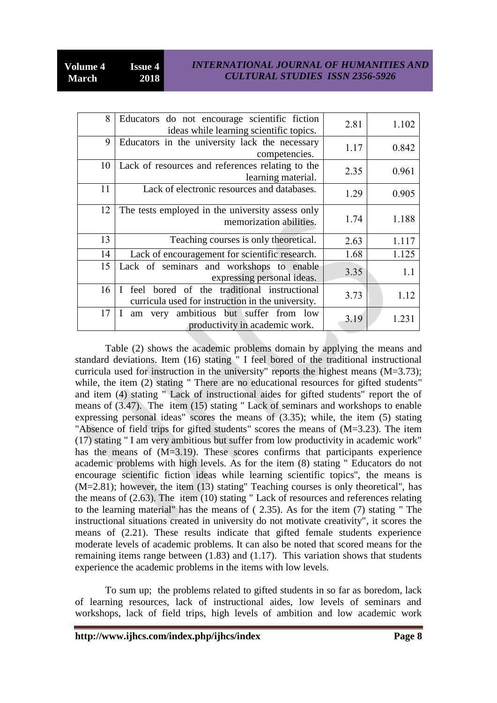## *INTERNATIONAL JOURNAL OF HUMANITIES AND CULTURAL STUDIES ISSN 2356-5926*

| 8  | Educators do not encourage scientific fiction<br>ideas while learning scientific topics.                            | 2.81 | 1.102 |
|----|---------------------------------------------------------------------------------------------------------------------|------|-------|
| 9  | Educators in the university lack the necessary<br>competencies.                                                     | 1.17 | 0.842 |
| 10 | Lack of resources and references relating to the<br>learning material.                                              | 2.35 | 0.961 |
| 11 | Lack of electronic resources and databases.                                                                         | 1.29 | 0.905 |
| 12 | The tests employed in the university assess only<br>memorization abilities.                                         | 1.74 | 1.188 |
| 13 | Teaching courses is only theoretical.                                                                               | 2.63 | 1.117 |
| 14 | Lack of encouragement for scientific research.                                                                      | 1.68 | 1.125 |
| 15 | Lack of seminars and workshops to enable<br>expressing personal ideas.                                              | 3.35 | 1.1   |
| 16 | bored of the traditional instructional<br>feel<br>$\mathbf{I}$<br>curricula used for instruction in the university. | 3.73 | 1.12  |
| 17 | ambitious but suffer from low<br>L<br>very<br>am<br>productivity in academic work.                                  | 3.19 | 1.231 |

Table (2) shows the academic problems domain by applying the means and standard deviations. Item (16) stating " I feel bored of the traditional instructional curricula used for instruction in the university" reports the highest means (M=3.73); while, the item (2) stating " There are no educational resources for gifted students" and item (4) stating " Lack of instructional aides for gifted students" report the of means of (3.47). The item (15) stating " Lack of seminars and workshops to enable expressing personal ideas" scores the means of (3.35); while, the item (5) stating "Absence of field trips for gifted students" scores the means of (M=3.23). The item (17) stating " I am very ambitious but suffer from low productivity in academic work" has the means of (M=3.19). These scores confirms that participants experience academic problems with high levels. As for the item (8) stating " Educators do not encourage scientific fiction ideas while learning scientific topics", the means is (M=2.81); however, the item (13) stating" Teaching courses is only theoretical", has the means of (2.63). The item (10) stating " Lack of resources and references relating to the learning material" has the means of ( 2.35). As for the item (7) stating " The instructional situations created in university do not motivate creativity", it scores the means of (2.21). These results indicate that gifted female students experience moderate levels of academic problems. It can also be noted that scored means for the remaining items range between (1.83) and (1.17). This variation shows that students experience the academic problems in the items with low levels.

To sum up; the problems related to gifted students in so far as boredom, lack of learning resources, lack of instructional aides, low levels of seminars and workshops, lack of field trips, high levels of ambition and low academic work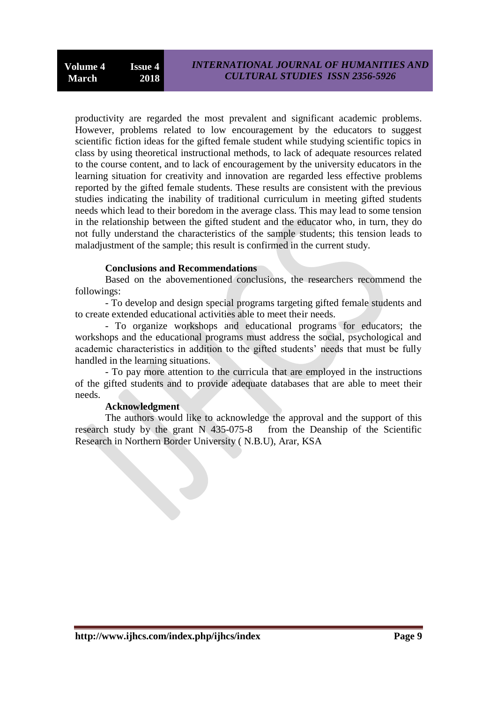productivity are regarded the most prevalent and significant academic problems. However, problems related to low encouragement by the educators to suggest scientific fiction ideas for the gifted female student while studying scientific topics in class by using theoretical instructional methods, to lack of adequate resources related to the course content, and to lack of encouragement by the university educators in the learning situation for creativity and innovation are regarded less effective problems reported by the gifted female students. These results are consistent with the previous studies indicating the inability of traditional curriculum in meeting gifted students needs which lead to their boredom in the average class. This may lead to some tension in the relationship between the gifted student and the educator who, in turn, they do not fully understand the characteristics of the sample students; this tension leads to maladjustment of the sample; this result is confirmed in the current study.

### **Conclusions and Recommendations**

Based on the abovementioned conclusions, the researchers recommend the followings:

- To develop and design special programs targeting gifted female students and to create extended educational activities able to meet their needs.

- To organize workshops and educational programs for educators; the workshops and the educational programs must address the social, psychological and academic characteristics in addition to the gifted students' needs that must be fully handled in the learning situations.

- To pay more attention to the curricula that are employed in the instructions of the gifted students and to provide adequate databases that are able to meet their needs.

#### **Acknowledgment**

The authors would like to acknowledge the approval and the support of this research study by the grant N 435-075-8 from the Deanship of the Scientific Research in Northern Border University ( N.B.U), Arar, KSA